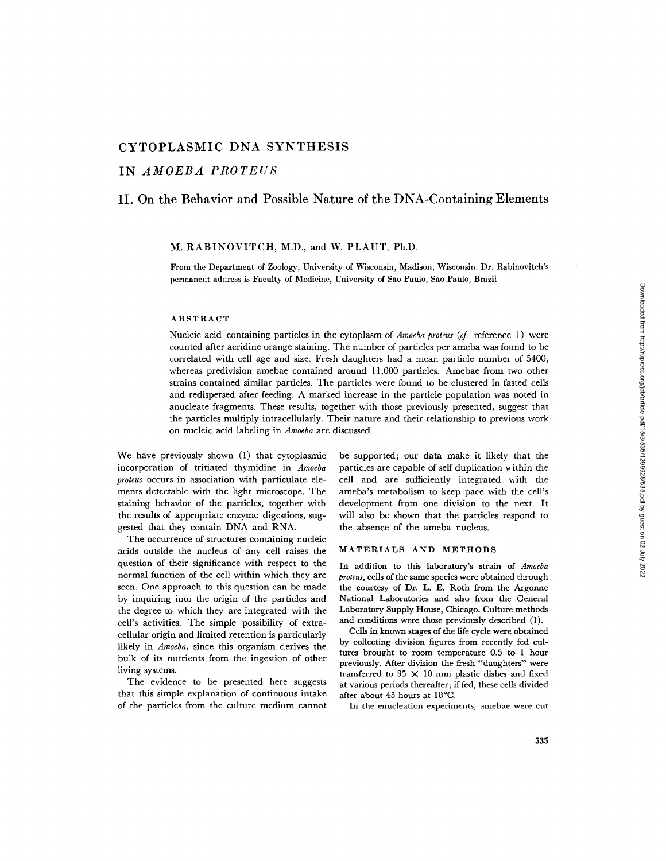# **CYTOPLASMIC DNA SYNTHESIS**

**IN** *AMOEBA PROTEUS* 

# **II. On the Behavior and Possible Nature of the DNA-Containing Elements**

### M. RABINOVITCH, M.D., and W. PLAUT, Ph.D.

From the Department of Zoology, University of Wisconsin, Madison, Wisconsin. Dr. Rabinoviteh's permanent address is Faculty of Medicine, University of Sao Faulo, Sao Paulo, Brazil

### ABSTRACT

Nucleic acid-containing particles in the cytoplasm of *Amoeba proteus (cf.* reference l) were counted after acridine orange staining. The number of particles per ameba was found to be correlated with cell age and size. Fresh daughters had a mean particle number of 5400, whereas predivision amebae contained around 11,000 particles. Amebae from two other strains contained similar particles. The particles were found to be clustered in fasted cells and rcdispersed after feeding. A marked increase in the particle population was noted in anucleate fragments. These results, together with those previously presented, suggest that the particles multiply intracellularly. Their nature and their relationship to previous work on nucleic acid labeling in *Amoeba* are discussed.

We have previously shown (1) that cytoplasmic incorporation of tritiated thymidine in *Amoeba proteus* occurs in association with particulate elements detectable with the light microscope. The staining behavior of the particles, together with the results of appropriate enzyme digestions, suggested that they contain DNA and RNA.

The occurrence of structures containing nucleic acids outside the nucleus of any cell raises the question of their significance with respect to the normal function of the cell within which they are seen. One approach to this question can be made by inquiring into the origin of the particles and the degree to which they are integrated with the cell's activities. The simple possibility of extracellular origin and limited retention is particularly likely in *Amoeba,* since this organism derives the bulk of its nutrients from the ingestion of other living systems.

The evidence to be presented here suggests that this simple explanation of continuous intake of the particles from the culture medium cannot

be supported; our data make it likely that the particles are capable of self duplication within the cell and are sufficiently integrated with the ameba's metabolism to keep pace with the cell's development from one division to the next. It will also be shown that the particles respond to the absence of the ameba nucleus.

### MATERIALS AND **METHODS**

In addition to this laboratory's strain of *Amoeba proteus,* cells of the same species were obtained through the courtesy of Dr. L. E. Roth from the Argonne National Laboratories and also from the General Laboratory Supply House, Chicago. Culture methods and conditions were those previously described (1).

Cells in known stages of the life cycle were obtained by collecting division figures from recently fed cultures brought to room temperature 0.5 to 1 hour previously. After division the fresh "daughters" were transferred to 35  $\times$  10 mm plastic dishes and fixed at various periods thereafter; if fed, these cells divided after about 45 hours at 18°C.

In the enucleation experiments, amebae were cut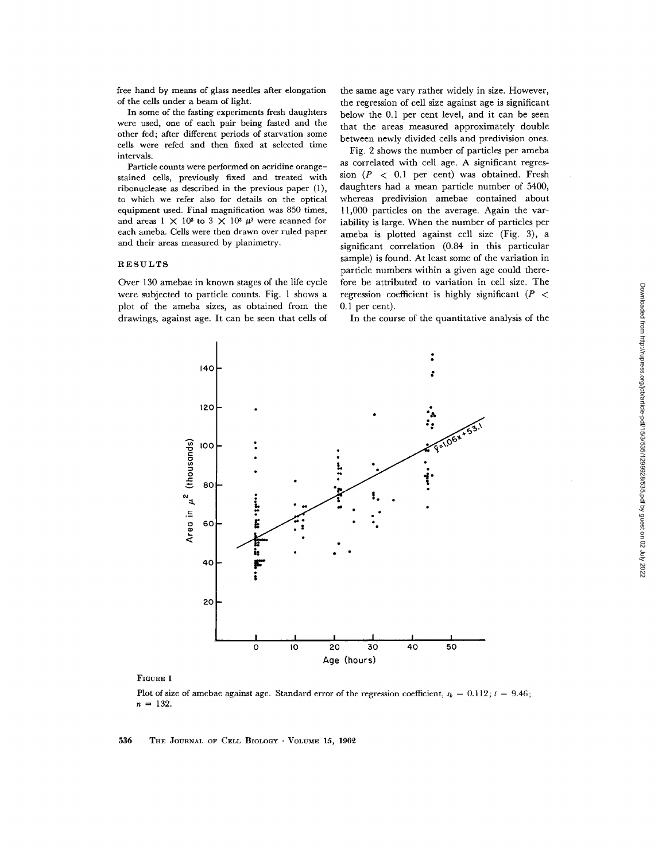In some of the fasting experiments fresh daughters were used, one of each pair being fasted and the other fed; after different periods of starvation some cells were refed and then fixed at selected time intervals.

Particle counts were performed on acridine orangestained cells, previously fixed and treated with ribonuclease as described in the previous paper (1), to which we refer also for details on the optical equipment used. Final magnification was 850 times, and areas  $1 \times 10^3$  to  $3 \times 10^3 \mu^2$  were scanned for each ameba. Cells were then drawn over ruled paper and their areas measured by planimetry.

### RESULTS

Over 130 amebae in known stages of the life cycle were subjected to particle counts. Fig. 1 shows a plot of the ameba sizes, as obtained from the drawings, against age. It can be seen that cells of

the same age vary rather widely in size. However, the regression of cell size against age is significant below the 0.1 per cent level, and it can be seen that the areas measured approximately double between newly divided cells and predivision ones.

Fig. 2 shows the number of particles per ameba as correlated with cell age. A significant regression  $(P < 0.1$  per cent) was obtained. Fresh daughters had a mean particle number of 5400, whereas predivision amebae contained about 11,000 particles on the average. Again the variability is large. When the number of particles per ameba is plotted against cell size (Fig. 3), a significant correlation (0.84 in this particular sample) is found. At least some of the variation in particle numbers within a given age could therefore be attributed to variation in cell size. The regression coefficient is highly significant ( $P <$ 0.1 per cent).

In the course of the quantitative analysis of the



#### FIGURE 1

Plot of size of amebae against age. Standard error of the regression coefficient,  $s_b = 0.112$ ;  $t = 9.46$ ;  $n = 132$ .

 $536$  The JOURNAL OF CELL BIOLOGY  $\cdot$  VOLUME 15, 1962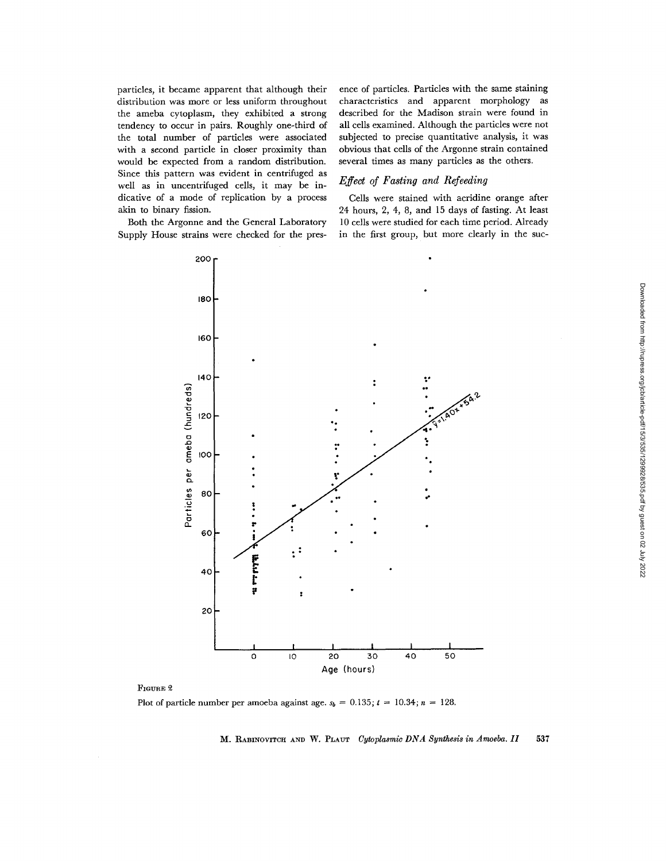particles, it became apparent that although their distribution was more or less uniform throughout the ameba cytoplasm, they exhibited a strong tendency to occur in pairs. Roughly one-third of the total number of particles were associated with a second particle in closer proximity than would be expected from a random distribution. Since this pattern was evident in centrifuged as well as in uncentrifuged cells, it may be indicative of a mode of replication by a process akin to binary fission.

Both the Argonne and the General Laboratory Supply House strains were checked for the pres-

ence of particles. Particles with the same staining characteristics and apparent morphology as described for the Madison strain were found in all cells examined. Although the particles were not subjected to precise quantitative analysis, it was obvious that cells of the Argonne strain contained several times as many particles as the others.

## *Effect of Fasting and Refeeding*

Cells were stained with acridine orange after 24 hours, 2, 4, 8, and 15 days of fasting. At least 10 cells were studied for each time period. Already in the first group, but more clearly in the suc-



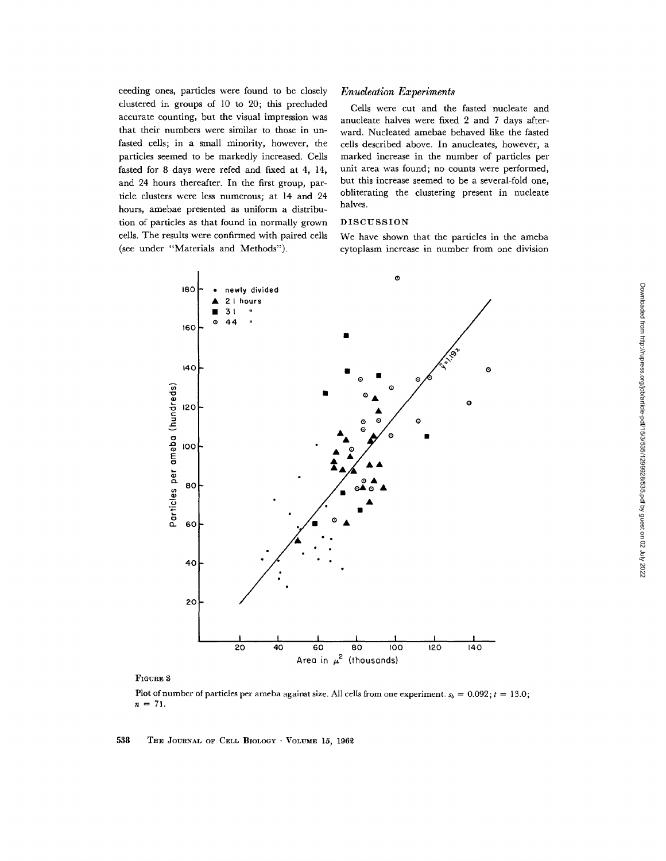ceeding ones, particles were found to be closely clustered in groups of 10 to 20; this precluded accurate counting, but the visual impression was that their numbers were similar to those in unfasted cells; in a small minority, however, the particles seemed to be markedly increased. Cells fasted for 8 days were refed and fixed at 4, 14, and 24 hours thereafter. In the first group, particle clusters were less numerous; at 14 and 24 hours, amebae presented as uniform a distribution of particles as that found in normally grown cells. The results were confirmed with paired cells (see under "Materials and Methods").

## *Enudeation Experiments*

Cells were cut and the fasted nucleate and anucleate halves were fixed 2 and 7 days afterward. Nucleated amebae behaved like the fasted cells described above. In anucleates, however, a marked increase in the number of particles per unit area was found; no counts were performed, but this increase seemed to be a several-fold one, obliterating the clustering present in nucleate halves.

# DISCUSSION

We have shown that the particles in the ameba cytoplasm increase in number from one division



### FIGURE 3

Plot of number of particles per ameba against size. All cells from one experiment,  $s_b = 0.092$ ;  $t = 13.0$ ;  $n = 71$ .

538 THE JOURNAL OF CELL BIOLOGY · VOLUME 15, 1962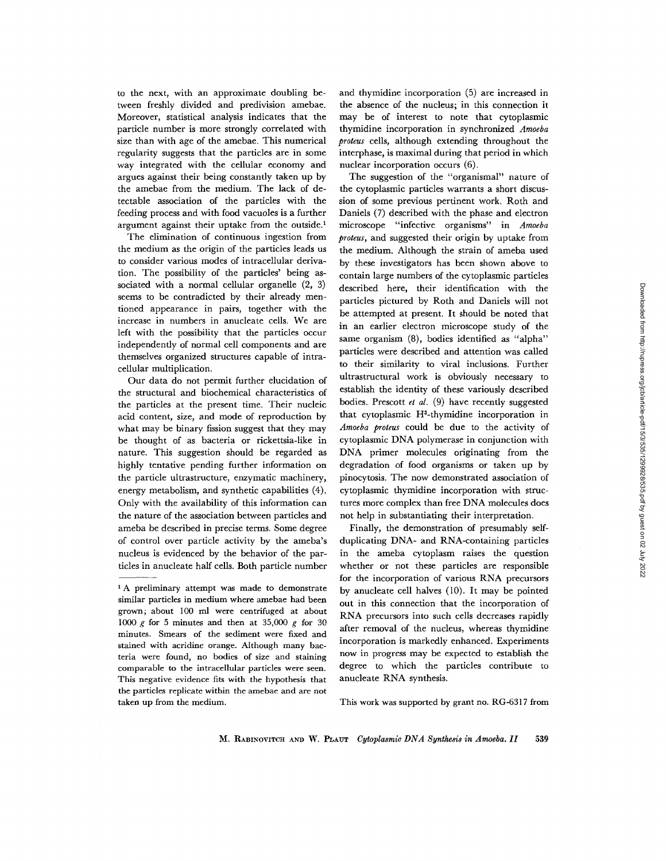to the next, with an approximate doubling between freshly divided and predivision amebae. Moreover, statistical analysis indicates that the particle number is more strongly correlated with size than with age of the amebae. This numerical regularity suggests that the particles are in some way integrated with the cellular economy and argues against their being constantly taken up by the amebae from the medium. The lack of detectable association of the particles with the feeding process and with food vacuoles is a further argument against their uptake from the outside.<sup>1</sup>

The elimination of continuous ingestion from the medium as the origin of the particles leads us to consider various modes of intracellular derivation. The possibility of the particles' being associated with a normal cellular organelle  $(2, 3)$ seems to be contradicted by their already mentioned appearance in pairs, together with the increase in numbers in anucleate cells. We are left with the possibility that the particles occur independently of normal cell components and are themselves organized structures capable of intracellular multiplication.

Our data do not permit further elucidation of the structural and biochemical characteristics of the particles at the present time. Their nucleic acid content, size, and mode of reproduction by what may be binary fission suggest that they may be thought of as bacteria or rickettsia-like in nature. This suggestion should be regarded as highly tentative pending further information on the particle ultrastructure, enzymatic machinery, energy metabolism, and synthetic capabilities (4). Only with the availability of this information can the nature of the association between particles and ameba be described in precise terms. Some degree of control over particle activity by the ameba's nucleus is evidenced by the behavior of the particles in anucleate half cells. Both particle number

and thymidine incorporation (5) are increased in the absence of the nucleus; in this connection it may be of interest to note that cytoplasmic thymidine incorporation in synchronized *Amoeba proteus* cells, although extending throughout the interphase, is maximal during that period in which nuclear incorporation occurs (6).

The suggestion of the "organismal" nature of the cytoplasmic particles warrants a short discussion of some previous pertinent work. Roth and Daniels (7) described with the phase and electron microscope "infective organisms" in *Amoeba proteus,* and suggested their origin by uptake from the medium. Although the strain of ameba used by these investigators has been shown above to contain large numbers of the cytoplasmic particles described here, their identification with the particles pictured by Roth and Daniels will not be attempted at present. It should be noted that in an earlier electron microscope study of the same organism (8), bodies identified as "alpha" particles were described and attention was called to their similarity to viral inclusions. Further ultrastructural work is obviously necessary to establish the identity of these variously described bodies. Prescott *et al.* (9) have recently suggested that cytoplasmic  $H<sup>3</sup>$ -thymidine incorporation in *Amoeba proteus* could be due to the activity of cytoplasmic DNA polymerase in conjunction with DNA primer molecules originating from the degradation of food organisms or taken up by pinocytosis. The now demonstrated association of cytoplasmic thymidine incorporation with structures more complex than free DNA molecules does not help in substantiating their interpretation.

Finally, the demonstration of presumably selfduplicating DNA- and RNA-containing particles in the ameba cytoplasm raises the question whether or not these particles are responsible for the incorporation of various RNA precursors by anucleate cell halves (I0). It may be pointed out in this connection that the incorporation of RNA precursors into such cells decreases rapidly after removal of the nucleus, whereas thymidine incorporation is markedly enhanced. Experiments now in progress may be expected to establish the degree to which the particles contribute to anucleate RNA synthesis.

This work was supported by grant no. RG-6317 from

<sup>&</sup>lt;sup>1</sup>A preliminary attempt was made to demonstrate similar particles in medium where amebae had been grown; about 100 ml were centrifuged at about 1000  $g$  for 5 minutes and then at 35,000  $g$  for 30 minutes. Smears of the sediment were fixed and stained with acridine orange. Although many bacteria were found, no bodies of size and staining comparable to the intracellular particles were seen. This negative evidence fits with the hypothesis that the particles replicate within the amebae and are not taken up from the medium.